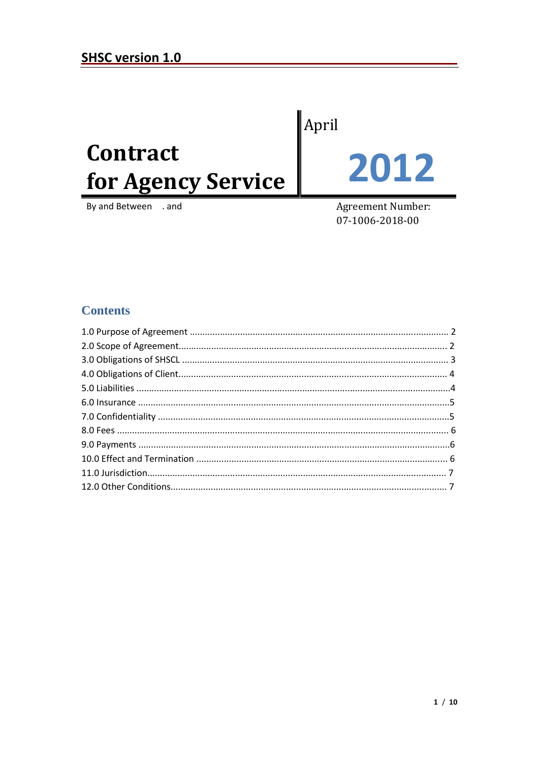# Contract for Agency Service

By and Between . and

April

2012

**Agreement Number:** 07-1006-2018-00

## **Contents**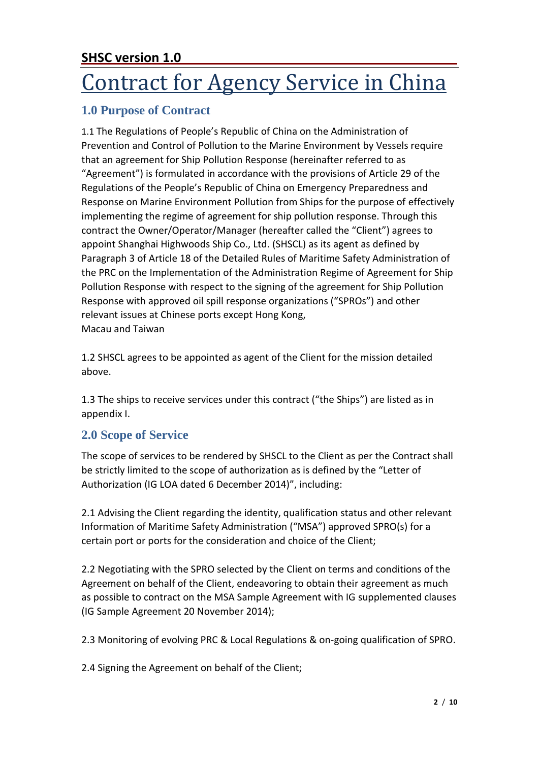# Contract for Agency Service in China

# **1.0 Purpose of Contract**

1.1 The Regulations of People's Republic of China on the Administration of Prevention and Control of Pollution to the Marine Environment by Vessels require that an agreement for Ship Pollution Response (hereinafter referred to as "Agreement") is formulated in accordance with the provisions of Article 29 of the Regulations of the People's Republic of China on Emergency Preparedness and Response on Marine Environment Pollution from Ships for the purpose of effectively implementing the regime of agreement for ship pollution response. Through this contract the Owner/Operator/Manager (hereafter called the "Client") agrees to appoint Shanghai Highwoods Ship Co., Ltd. (SHSCL) as its agent as defined by Paragraph 3 of Article 18 of the Detailed Rules of Maritime Safety Administration of the PRC on the Implementation of the Administration Regime of Agreement for Ship Pollution Response with respect to the signing of the agreement for Ship Pollution Response with approved oil spill response organizations ("SPROs") and other relevant issues at Chinese ports except Hong Kong, Macau and Taiwan

1.2 SHSCL agrees to be appointed as agent of the Client for the mission detailed above.

1.3 The ships to receive services under this contract ("the Ships") are listed as in appendix I.

# **2.0 Scope of Service**

The scope of services to be rendered by SHSCL to the Client as per the Contract shall be strictly limited to the scope of authorization as is defined by the "Letter of Authorization (IG LOA dated 6 December 2014)", including:

2.1 Advising the Client regarding the identity, qualification status and other relevant Information of Maritime Safety Administration ("MSA") approved SPRO(s) for a certain port or ports for the consideration and choice of the Client;

2.2 Negotiating with the SPRO selected by the Client on terms and conditions of the Agreement on behalf of the Client, endeavoring to obtain their agreement as much as possible to contract on the MSA Sample Agreement with IG supplemented clauses (IG Sample Agreement 20 November 2014);

2.3 Monitoring of evolving PRC & Local Regulations & on-going qualification of SPRO.

2.4 Signing the Agreement on behalf of the Client;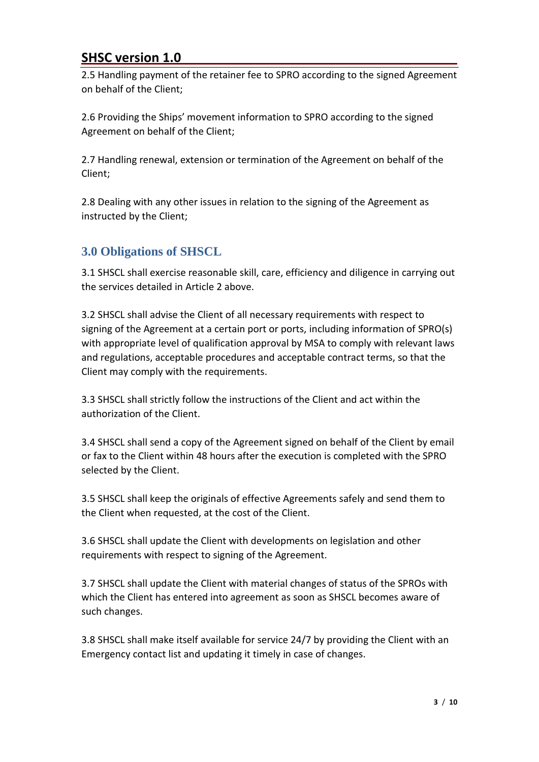2.5 Handling payment of the retainer fee to SPRO according to the signed Agreement on behalf of the Client;

2.6 Providing the Ships' movement information to SPRO according to the signed Agreement on behalf of the Client;

2.7 Handling renewal, extension or termination of the Agreement on behalf of the Client;

2.8 Dealing with any other issues in relation to the signing of the Agreement as instructed by the Client;

## **3.0 Obligations of SHSCL**

3.1 SHSCL shall exercise reasonable skill, care, efficiency and diligence in carrying out the services detailed in Article 2 above.

3.2 SHSCL shall advise the Client of all necessary requirements with respect to signing of the Agreement at a certain port or ports, including information of SPRO(s) with appropriate level of qualification approval by MSA to comply with relevant laws and regulations, acceptable procedures and acceptable contract terms, so that the Client may comply with the requirements.

3.3 SHSCL shall strictly follow the instructions of the Client and act within the authorization of the Client.

3.4 SHSCL shall send a copy of the Agreement signed on behalf of the Client by email or fax to the Client within 48 hours after the execution is completed with the SPRO selected by the Client.

3.5 SHSCL shall keep the originals of effective Agreements safely and send them to the Client when requested, at the cost of the Client.

3.6 SHSCL shall update the Client with developments on legislation and other requirements with respect to signing of the Agreement.

3.7 SHSCL shall update the Client with material changes of status of the SPROs with which the Client has entered into agreement as soon as SHSCL becomes aware of such changes.

3.8 SHSCL shall make itself available for service 24/7 by providing the Client with an Emergency contact list and updating it timely in case of changes.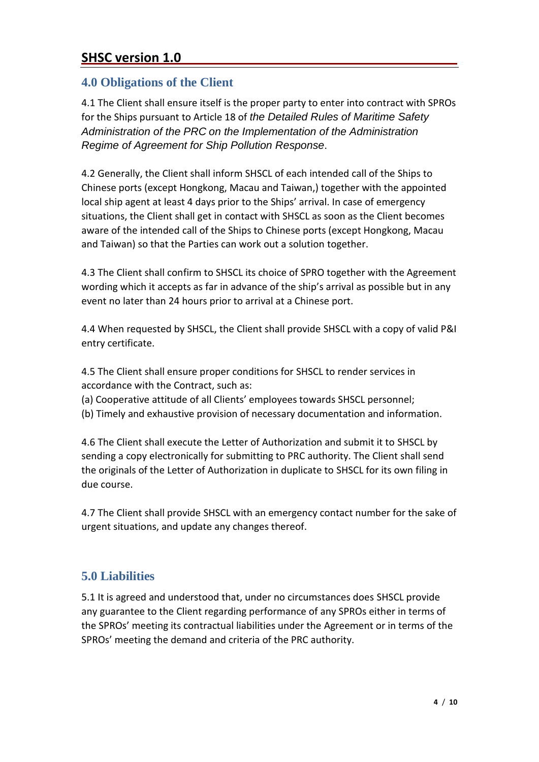#### **4.0 Obligations of the Client**

4.1 The Client shall ensure itself is the proper party to enter into contract with SPROs for the Ships pursuant to Article 18 of *the Detailed Rules of Maritime Safety Administration of the PRC on the Implementation of the Administration Regime of Agreement for Ship Pollution Response*.

4.2 Generally, the Client shall inform SHSCL of each intended call of the Ships to Chinese ports (except Hongkong, Macau and Taiwan,) together with the appointed local ship agent at least 4 days prior to the Ships' arrival. In case of emergency situations, the Client shall get in contact with SHSCL as soon as the Client becomes aware of the intended call of the Ships to Chinese ports (except Hongkong, Macau and Taiwan) so that the Parties can work out a solution together.

4.3 The Client shall confirm to SHSCL its choice of SPRO together with the Agreement wording which it accepts as far in advance of the ship's arrival as possible but in any event no later than 24 hours prior to arrival at a Chinese port.

4.4 When requested by SHSCL, the Client shall provide SHSCL with a copy of valid P&I entry certificate.

4.5 The Client shall ensure proper conditions for SHSCL to render services in accordance with the Contract, such as:

- (a) Cooperative attitude of all Clients' employees towards SHSCL personnel;
- (b) Timely and exhaustive provision of necessary documentation and information.

4.6 The Client shall execute the Letter of Authorization and submit it to SHSCL by sending a copy electronically for submitting to PRC authority. The Client shall send the originals of the Letter of Authorization in duplicate to SHSCL for its own filing in due course.

4.7 The Client shall provide SHSCL with an emergency contact number for the sake of urgent situations, and update any changes thereof.

## **5.0 Liabilities**

5.1 It is agreed and understood that, under no circumstances does SHSCL provide any guarantee to the Client regarding performance of any SPROs either in terms of the SPROs' meeting its contractual liabilities under the Agreement or in terms of the SPROs' meeting the demand and criteria of the PRC authority.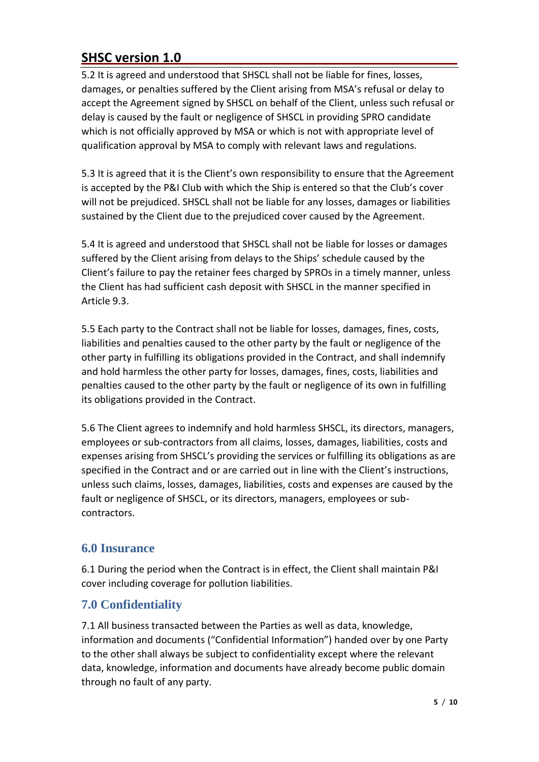5.2 It is agreed and understood that SHSCL shall not be liable for fines, losses, damages, or penalties suffered by the Client arising from MSA's refusal or delay to accept the Agreement signed by SHSCL on behalf of the Client, unless such refusal or delay is caused by the fault or negligence of SHSCL in providing SPRO candidate which is not officially approved by MSA or which is not with appropriate level of qualification approval by MSA to comply with relevant laws and regulations.

5.3 It is agreed that it is the Client's own responsibility to ensure that the Agreement is accepted by the P&I Club with which the Ship is entered so that the Club's cover will not be prejudiced. SHSCL shall not be liable for any losses, damages or liabilities sustained by the Client due to the prejudiced cover caused by the Agreement.

5.4 It is agreed and understood that SHSCL shall not be liable for losses or damages suffered by the Client arising from delays to the Ships' schedule caused by the Client's failure to pay the retainer fees charged by SPROs in a timely manner, unless the Client has had sufficient cash deposit with SHSCL in the manner specified in Article 9.3.

5.5 Each party to the Contract shall not be liable for losses, damages, fines, costs, liabilities and penalties caused to the other party by the fault or negligence of the other party in fulfilling its obligations provided in the Contract, and shall indemnify and hold harmless the other party for losses, damages, fines, costs, liabilities and penalties caused to the other party by the fault or negligence of its own in fulfilling its obligations provided in the Contract.

5.6 The Client agrees to indemnify and hold harmless SHSCL, its directors, managers, employees or sub-contractors from all claims, losses, damages, liabilities, costs and expenses arising from SHSCL's providing the services or fulfilling its obligations as are specified in the Contract and or are carried out in line with the Client's instructions, unless such claims, losses, damages, liabilities, costs and expenses are caused by the fault or negligence of SHSCL, or its directors, managers, employees or subcontractors.

## **6.0 Insurance**

6.1 During the period when the Contract is in effect, the Client shall maintain P&I cover including coverage for pollution liabilities.

# **7.0 Confidentiality**

7.1 All business transacted between the Parties as well as data, knowledge, information and documents ("Confidential Information") handed over by one Party to the other shall always be subject to confidentiality except where the relevant data, knowledge, information and documents have already become public domain through no fault of any party.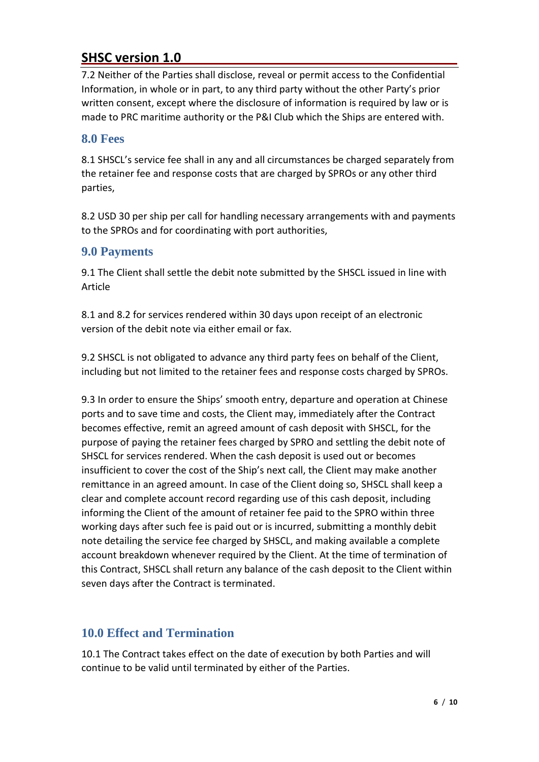7.2 Neither of the Parties shall disclose, reveal or permit access to the Confidential Information, in whole or in part, to any third party without the other Party's prior written consent, except where the disclosure of information is required by law or is made to PRC maritime authority or the P&I Club which the Ships are entered with.

#### **8.0 Fees**

8.1 SHSCL's service fee shall in any and all circumstances be charged separately from the retainer fee and response costs that are charged by SPROs or any other third parties,

8.2 USD 30 per ship per call for handling necessary arrangements with and payments to the SPROs and for coordinating with port authorities,

#### **9.0 Payments**

9.1 The Client shall settle the debit note submitted by the SHSCL issued in line with Article

8.1 and 8.2 for services rendered within 30 days upon receipt of an electronic version of the debit note via either email or fax.

9.2 SHSCL is not obligated to advance any third party fees on behalf of the Client, including but not limited to the retainer fees and response costs charged by SPROs.

9.3 In order to ensure the Ships' smooth entry, departure and operation at Chinese ports and to save time and costs, the Client may, immediately after the Contract becomes effective, remit an agreed amount of cash deposit with SHSCL, for the purpose of paying the retainer fees charged by SPRO and settling the debit note of SHSCL for services rendered. When the cash deposit is used out or becomes insufficient to cover the cost of the Ship's next call, the Client may make another remittance in an agreed amount. In case of the Client doing so, SHSCL shall keep a clear and complete account record regarding use of this cash deposit, including informing the Client of the amount of retainer fee paid to the SPRO within three working days after such fee is paid out or is incurred, submitting a monthly debit note detailing the service fee charged by SHSCL, and making available a complete account breakdown whenever required by the Client. At the time of termination of this Contract, SHSCL shall return any balance of the cash deposit to the Client within seven days after the Contract is terminated.

## **10.0 Effect and Termination**

10.1 The Contract takes effect on the date of execution by both Parties and will continue to be valid until terminated by either of the Parties.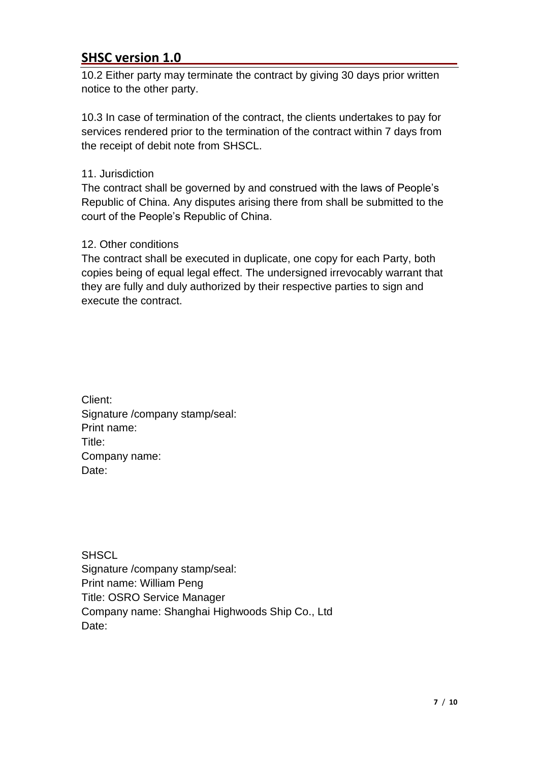10.2 Either party may terminate the contract by giving 30 days prior written notice to the other party.

10.3 In case of termination of the contract, the clients undertakes to pay for services rendered prior to the termination of the contract within 7 days from the receipt of debit note from SHSCL.

#### 11. Jurisdiction

The contract shall be governed by and construed with the laws of People's Republic of China. Any disputes arising there from shall be submitted to the court of the People's Republic of China.

#### 12. Other conditions

The contract shall be executed in duplicate, one copy for each Party, both copies being of equal legal effect. The undersigned irrevocably warrant that they are fully and duly authorized by their respective parties to sign and execute the contract.

Client: Signature /company stamp/seal: Print name: Title: Company name: Date:

**SHSCL** Signature /company stamp/seal: Print name: William Peng Title: OSRO Service Manager Company name: Shanghai Highwoods Ship Co., Ltd Date: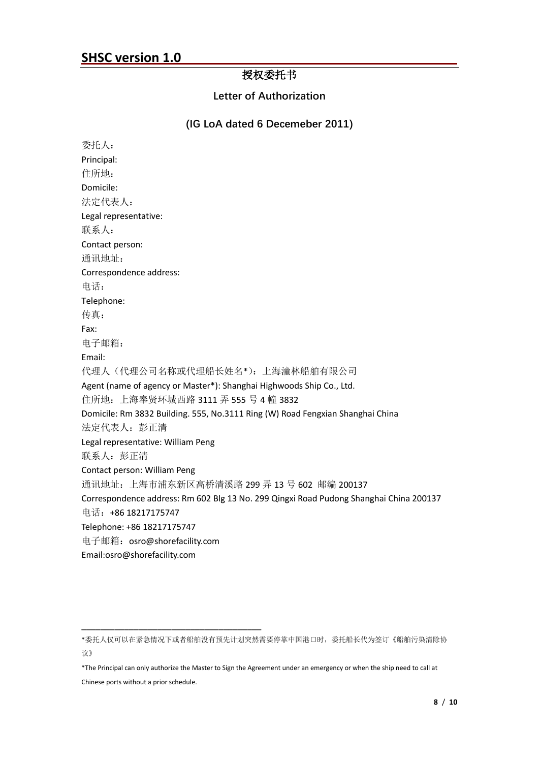#### 授权委托书

**Letter of Authorization**

#### **(IG LoA dated 6 Decemeber 2011)**

委托人: Principal: 住所地: Domicile: 法定代表人: Legal representative: 联系人: Contact person: 通讯地址: Correspondence address: 电话: Telephone: 传真: Fax: 电子邮箱: Email: 代理人(代理公司名称或代理船长姓名\*):上海潼林船舶有限公司 Agent (name of agency or Master\*): Shanghai Highwoods Ship Co., Ltd. 住所地:上海奉贤环城西路 3111 弄 555 号 4 幢 3832 Domicile: Rm 3832 Building. 555, No.3111 Ring (W) Road Fengxian Shanghai China 法定代表人:彭正清 Legal representative: William Peng 联系人:彭正清 Contact person: William Peng 通讯地址:上海市浦东新区高桥清溪路 299 弄 13 号 602 邮编 200137 Correspondence address: Rm 602 Blg 13 No. 299 Qingxi Road Pudong Shanghai China 200137 电话:+86 18217175747 Telephone: +86 18217175747 电子邮箱:osro@shorefacility.com Email:osro@shorefacility.com

\_\_\_\_\_\_\_\_\_\_\_\_\_\_\_\_\_\_\_\_\_\_\_\_\_\_\_\_\_\_\_\_\_\_\_\_\_\_

<sup>\*</sup>委托人仅可以在紧急情况下或者船舶没有预先计划突然需要停靠中国港口时,委托船长代为签订《船舶污染清除协 议》

<sup>\*</sup>The Principal can only authorize the Master to Sign the Agreement under an emergency or when the ship need to call at Chinese ports without a prior schedule.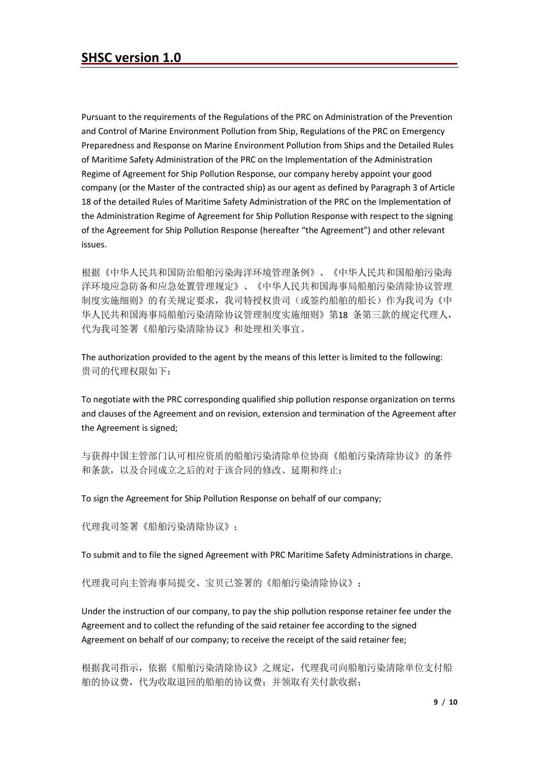Pursuant to the requirements of the Regulations of the PRC on Administration of the Prevention and Control of Marine Environment Pollution from Ship, Regulations of the PRC on Emergency Preparedness and Response on Marine Environment Pollution from Ships and the Detailed Rules of Maritime Safety Administration of the PRC on the Implementation of the Administration Regime of Agreement for Ship Pollution Response, our company hereby appoint your good company (or the Master of the contracted ship) as our agent as defined by Paragraph 3 of Article 18 of the detailed Rules of Maritime Safety Administration of the PRC on the Implementation of the Administration Regime of Agreement for Ship Pollution Response with respect to the signing of the Agreement for Ship Pollution Response (hereafter "the Agreement") and other relevant issues.

根据《中华人民共和国防治船舶污染海洋环境管理条例》、《中华人民共和国船舶污染海 洋环境应急防备和应急处置管理规定》、《中华人民共和国海事局船舶污染清除协议管理 制度实施细则》的有关规定要求,我司特授权贵司(或签约船舶的船长)作为我司为《中 华人民共和国海事局船舶污染清除协议管理制度实施细则》第18 条第三款的规定代理人, 代为我司签署《船舶污染清除协议》和处理相关事宜。

The authorization provided to the agent by the means of this letter is limited to the following: 贵司的代理权限如下:

To negotiate with the PRC corresponding qualified ship pollution response organization on terms and clauses of the Agreement and on revision, extension and termination of the Agreement after the Agreement is signed;

与获得中国主管部门认可相应资质的船舶污染清除单位协商《船舶污染清除协议》的条件 和条款,以及合同成立之后的对于该合同的修改、延期和终止;

To sign the Agreement for Ship Pollution Response on behalf of our company;

代理我司签署《船舶污染清除协议》;

To submit and to file the signed Agreement with PRC Maritime Safety Administrations in charge.

代理我司向主管海事局提交、宝贝已签署的《船舶污染清除协议》;

Under the instruction of our company, to pay the ship pollution response retainer fee under the Agreement and to collect the refunding of the said retainer fee according to the signed Agreement on behalf of our company; to receive the receipt of the said retainer fee;

根据我司指示,依据《船舶污染清除协议》之规定,代理我司向船舶污染清除单位支付船 舶的协议费,代为收取退回的船舶的协议费;并领取有关付款收据;